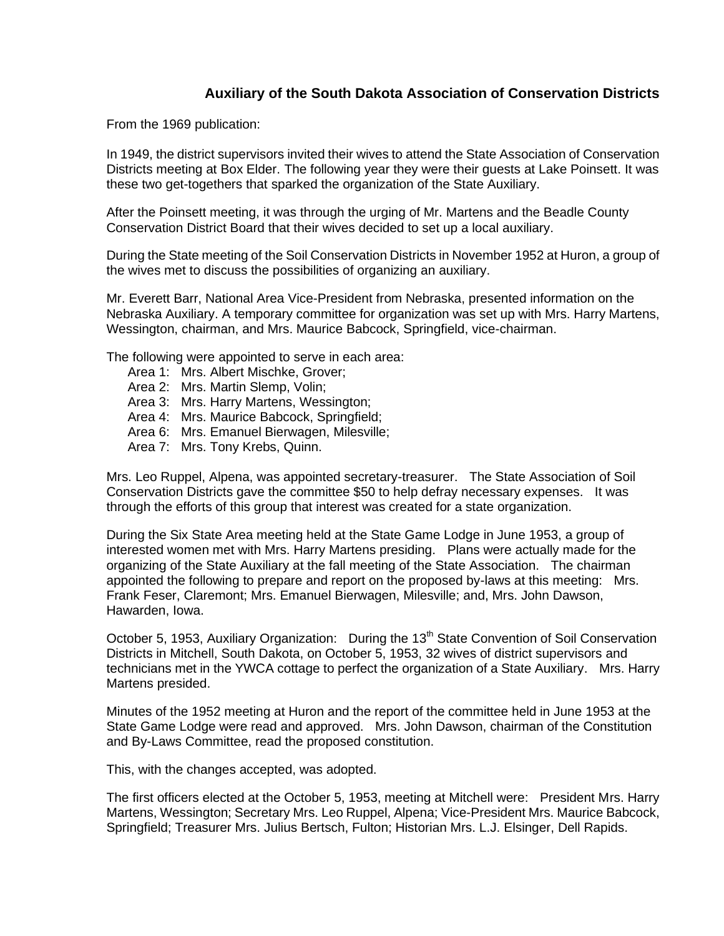## **Auxiliary of the South Dakota Association of Conservation Districts**

From the 1969 publication:

In 1949, the district supervisors invited their wives to attend the State Association of Conservation Districts meeting at Box Elder. The following year they were their guests at Lake Poinsett. It was these two get-togethers that sparked the organization of the State Auxiliary.

After the Poinsett meeting, it was through the urging of Mr. Martens and the Beadle County Conservation District Board that their wives decided to set up a local auxiliary.

During the State meeting of the Soil Conservation Districts in November 1952 at Huron, a group of the wives met to discuss the possibilities of organizing an auxiliary.

Mr. Everett Barr, National Area Vice-President from Nebraska, presented information on the Nebraska Auxiliary. A temporary committee for organization was set up with Mrs. Harry Martens, Wessington, chairman, and Mrs. Maurice Babcock, Springfield, vice-chairman.

The following were appointed to serve in each area:

- Area 1: Mrs. Albert Mischke, Grover;
- Area 2: Mrs. Martin Slemp, Volin;
- Area 3: Mrs. Harry Martens, Wessington;
- Area 4: Mrs. Maurice Babcock, Springfield;
- Area 6: Mrs. Emanuel Bierwagen, Milesville;
- Area 7: Mrs. Tony Krebs, Quinn.

Mrs. Leo Ruppel, Alpena, was appointed secretary-treasurer. The State Association of Soil Conservation Districts gave the committee \$50 to help defray necessary expenses. It was through the efforts of this group that interest was created for a state organization.

During the Six State Area meeting held at the State Game Lodge in June 1953, a group of interested women met with Mrs. Harry Martens presiding. Plans were actually made for the organizing of the State Auxiliary at the fall meeting of the State Association. The chairman appointed the following to prepare and report on the proposed by-laws at this meeting: Mrs. Frank Feser, Claremont; Mrs. Emanuel Bierwagen, Milesville; and, Mrs. John Dawson, Hawarden, Iowa.

October 5, 1953, Auxiliary Organization: During the 13<sup>th</sup> State Convention of Soil Conservation Districts in Mitchell, South Dakota, on October 5, 1953, 32 wives of district supervisors and technicians met in the YWCA cottage to perfect the organization of a State Auxiliary. Mrs. Harry Martens presided.

Minutes of the 1952 meeting at Huron and the report of the committee held in June 1953 at the State Game Lodge were read and approved. Mrs. John Dawson, chairman of the Constitution and By-Laws Committee, read the proposed constitution.

This, with the changes accepted, was adopted.

The first officers elected at the October 5, 1953, meeting at Mitchell were: President Mrs. Harry Martens, Wessington; Secretary Mrs. Leo Ruppel, Alpena; Vice-President Mrs. Maurice Babcock, Springfield; Treasurer Mrs. Julius Bertsch, Fulton; Historian Mrs. L.J. Elsinger, Dell Rapids.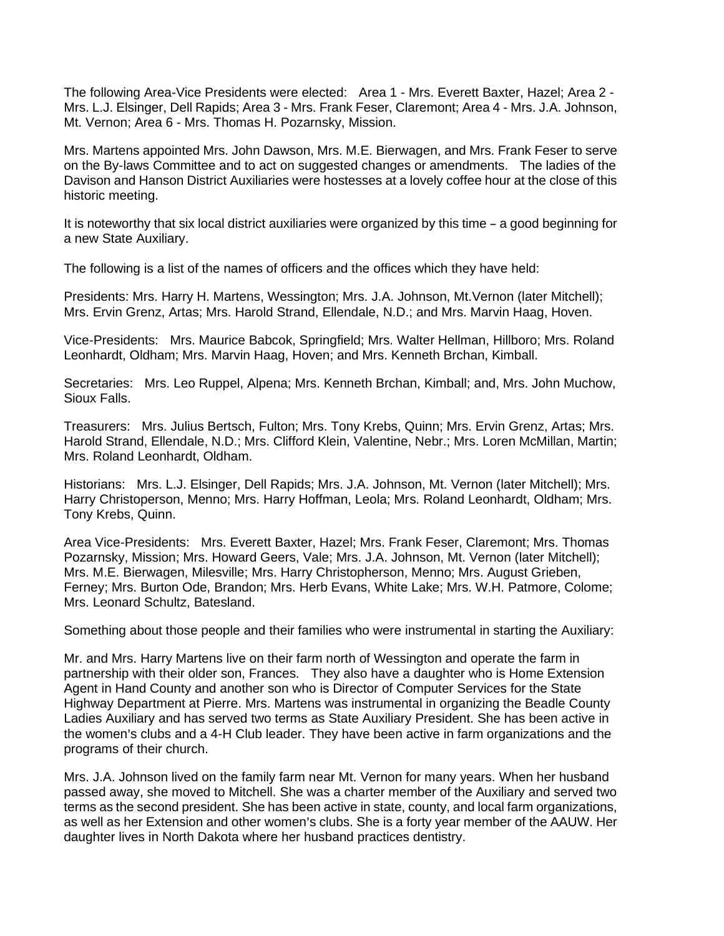The following Area-Vice Presidents were elected: Area 1 - Mrs. Everett Baxter, Hazel; Area 2 - Mrs. L.J. Elsinger, Dell Rapids; Area 3 - Mrs. Frank Feser, Claremont; Area 4 - Mrs. J.A. Johnson, Mt. Vernon; Area 6 - Mrs. Thomas H. Pozarnsky, Mission.

Mrs. Martens appointed Mrs. John Dawson, Mrs. M.E. Bierwagen, and Mrs. Frank Feser to serve on the By-laws Committee and to act on suggested changes or amendments. The ladies of the Davison and Hanson District Auxiliaries were hostesses at a lovely coffee hour at the close of this historic meeting.

It is noteworthy that six local district auxiliaries were organized by this time - a good beginning for a new State Auxiliary.

The following is a list of the names of officers and the offices which they have held:

Presidents: Mrs. Harry H. Martens, Wessington; Mrs. J.A. Johnson, Mt.Vernon (later Mitchell); Mrs. Ervin Grenz, Artas; Mrs. Harold Strand, Ellendale, N.D.; and Mrs. Marvin Haag, Hoven.

Vice-Presidents: Mrs. Maurice Babcok, Springfield; Mrs. Walter Hellman, Hillboro; Mrs. Roland Leonhardt, Oldham; Mrs. Marvin Haag, Hoven; and Mrs. Kenneth Brchan, Kimball.

Secretaries: Mrs. Leo Ruppel, Alpena; Mrs. Kenneth Brchan, Kimball; and, Mrs. John Muchow, Sioux Falls.

Treasurers: Mrs. Julius Bertsch, Fulton; Mrs. Tony Krebs, Quinn; Mrs. Ervin Grenz, Artas; Mrs. Harold Strand, Ellendale, N.D.; Mrs. Clifford Klein, Valentine, Nebr.; Mrs. Loren McMillan, Martin; Mrs. Roland Leonhardt, Oldham.

Historians: Mrs. L.J. Elsinger, Dell Rapids; Mrs. J.A. Johnson, Mt. Vernon (later Mitchell); Mrs. Harry Christoperson, Menno; Mrs. Harry Hoffman, Leola; Mrs. Roland Leonhardt, Oldham; Mrs. Tony Krebs, Quinn.

Area Vice-Presidents: Mrs. Everett Baxter, Hazel; Mrs. Frank Feser, Claremont; Mrs. Thomas Pozarnsky, Mission; Mrs. Howard Geers, Vale; Mrs. J.A. Johnson, Mt. Vernon (later Mitchell); Mrs. M.E. Bierwagen, Milesville; Mrs. Harry Christopherson, Menno; Mrs. August Grieben, Ferney; Mrs. Burton Ode, Brandon; Mrs. Herb Evans, White Lake; Mrs. W.H. Patmore, Colome; Mrs. Leonard Schultz, Batesland.

Something about those people and their families who were instrumental in starting the Auxiliary:

Mr. and Mrs. Harry Martens live on their farm north of Wessington and operate the farm in partnership with their older son, Frances. They also have a daughter who is Home Extension Agent in Hand County and another son who is Director of Computer Services for the State Highway Department at Pierre. Mrs. Martens was instrumental in organizing the Beadle County Ladies Auxiliary and has served two terms as State Auxiliary President. She has been active in the women's clubs and a 4-H Club leader. They have been active in farm organizations and the programs of their church.

Mrs. J.A. Johnson lived on the family farm near Mt. Vernon for many years. When her husband passed away, she moved to Mitchell. She was a charter member of the Auxiliary and served two terms as the second president. She has been active in state, county, and local farm organizations, as well as her Extension and other women's clubs. She is a forty year member of the AAUW. Her daughter lives in North Dakota where her husband practices dentistry.